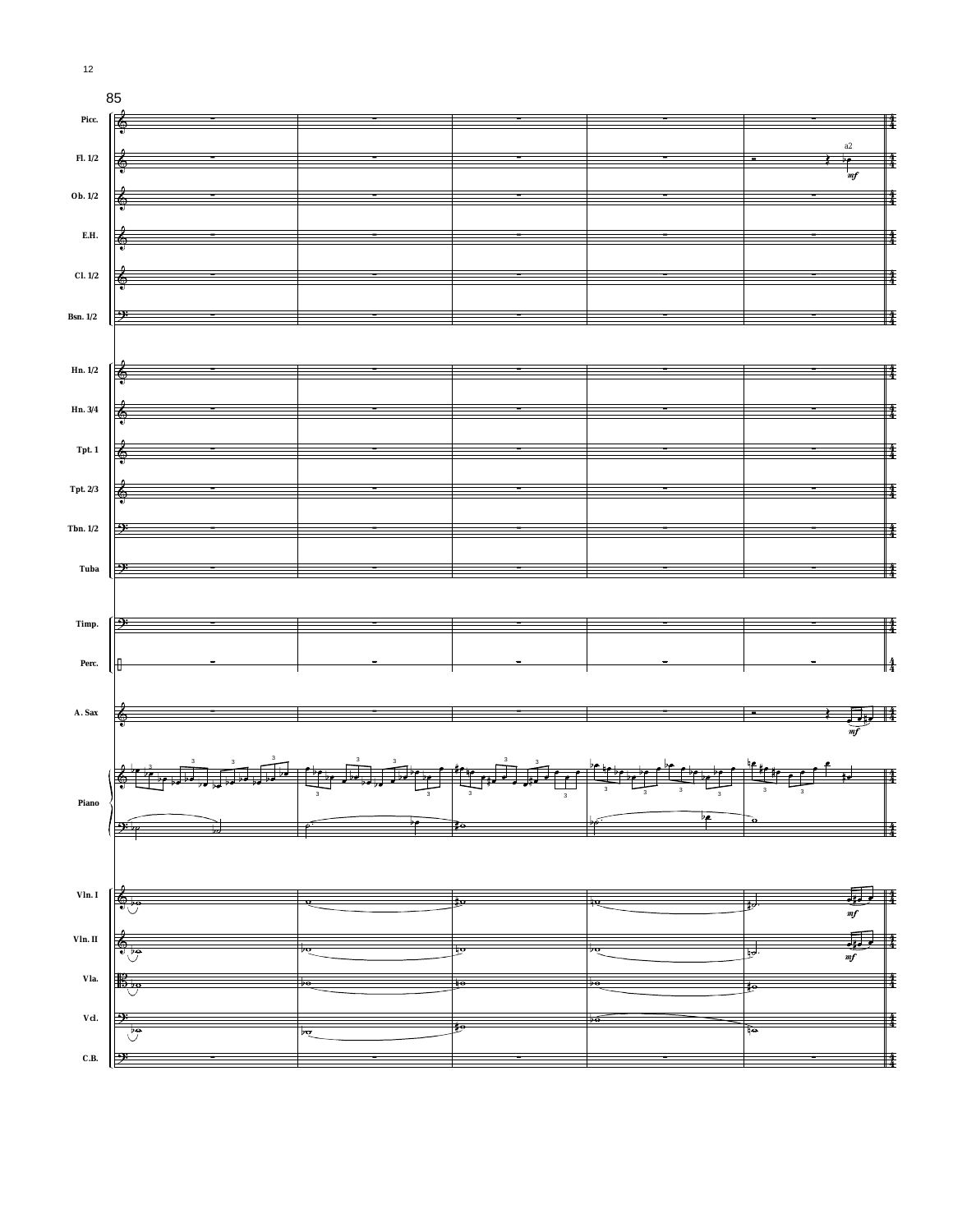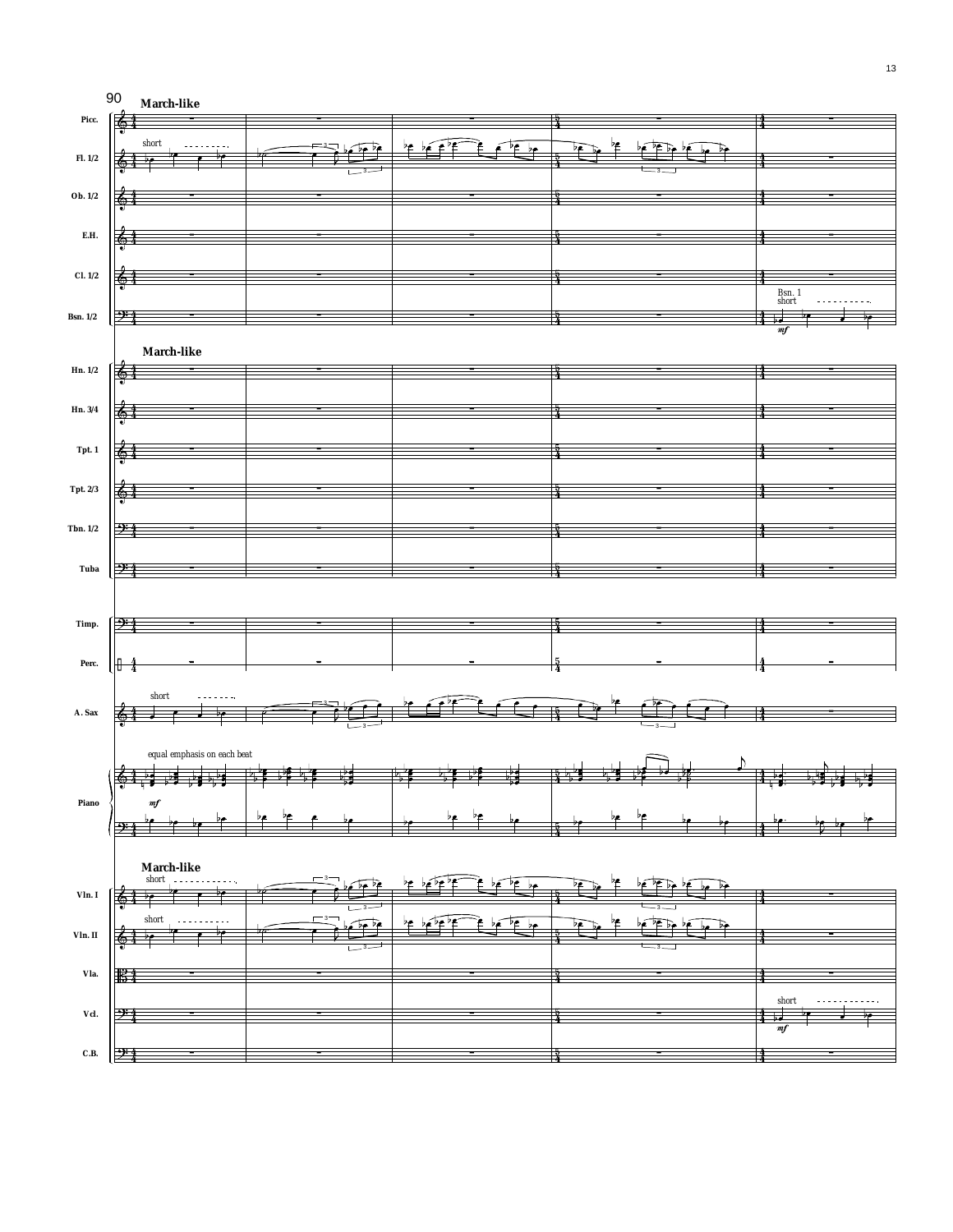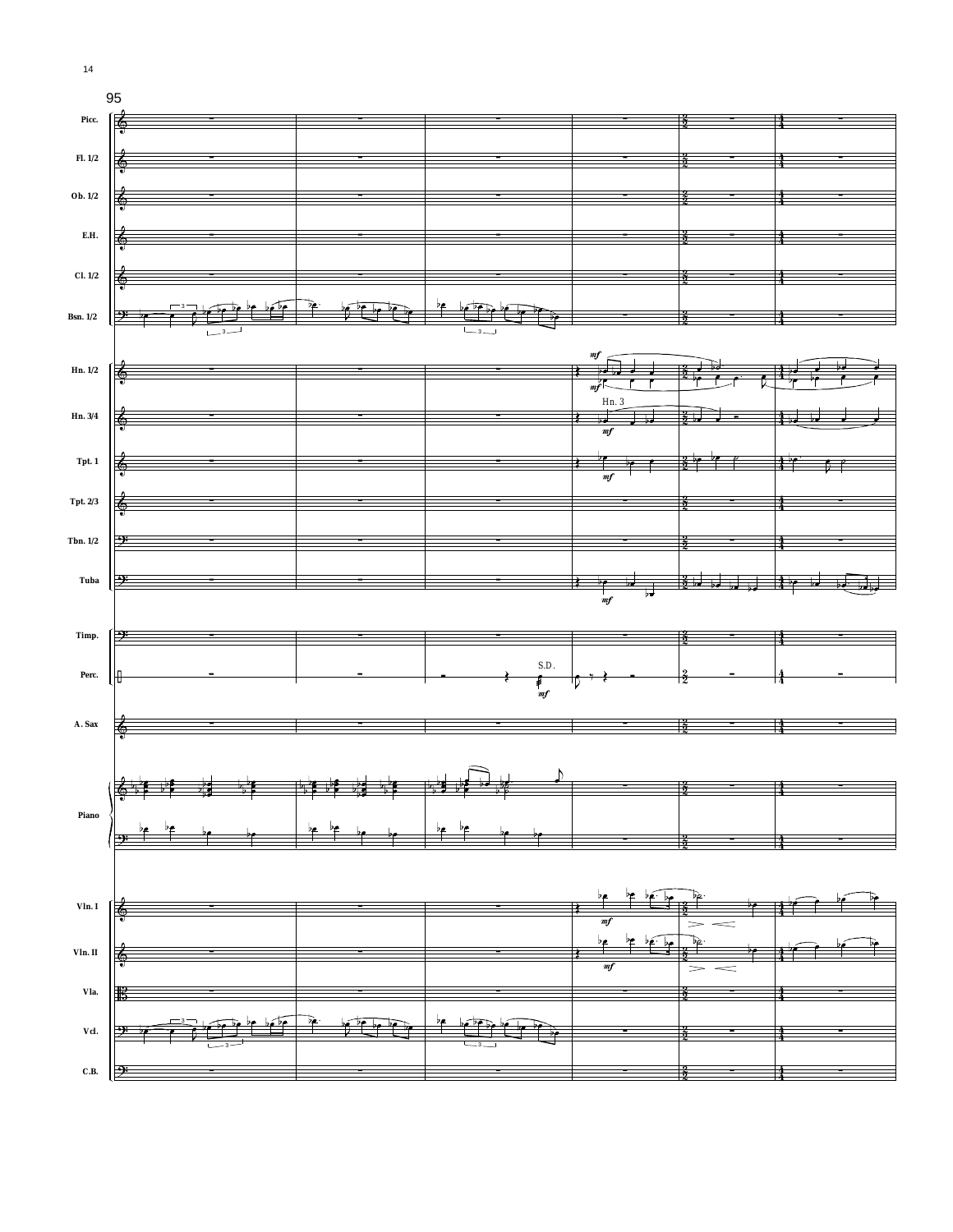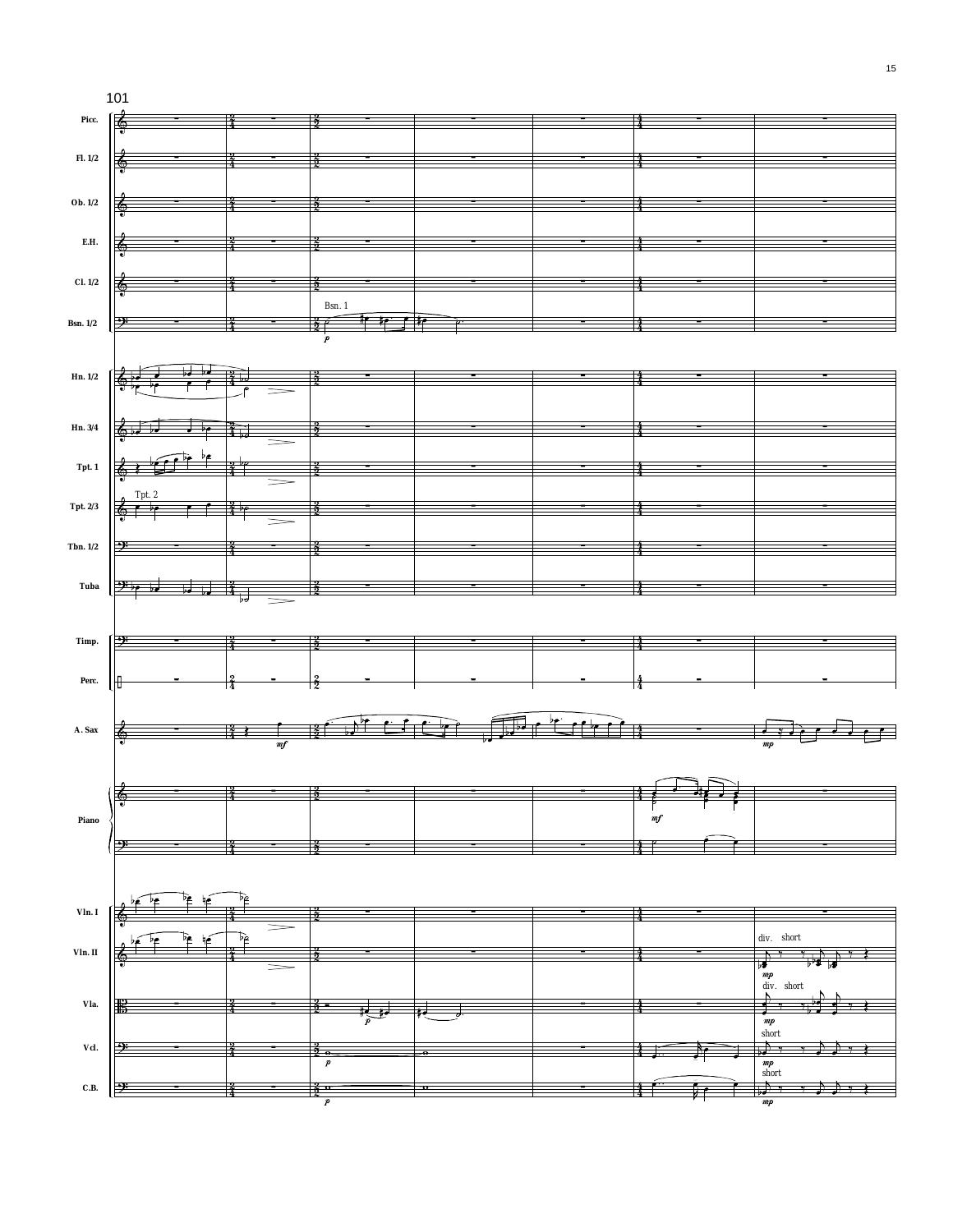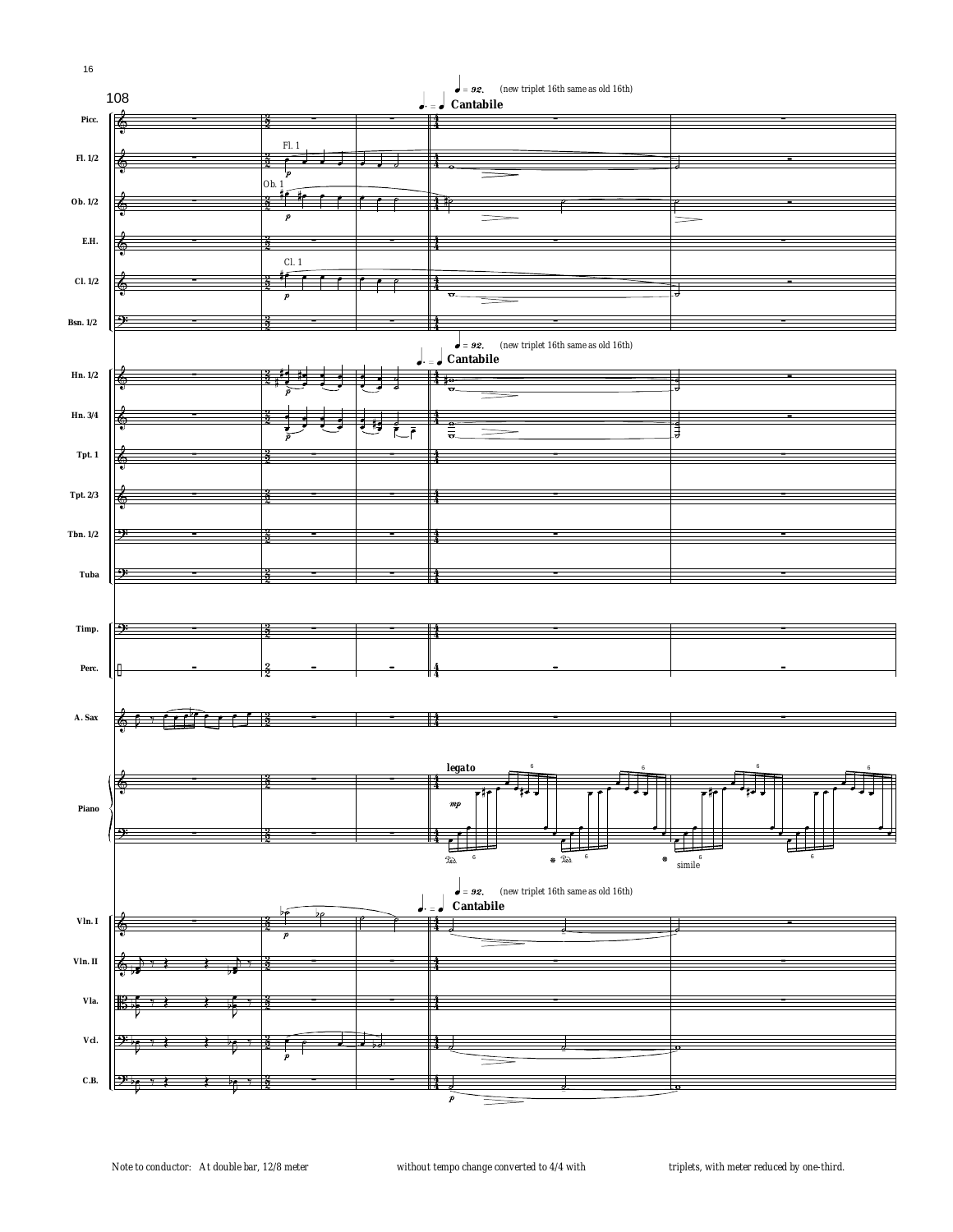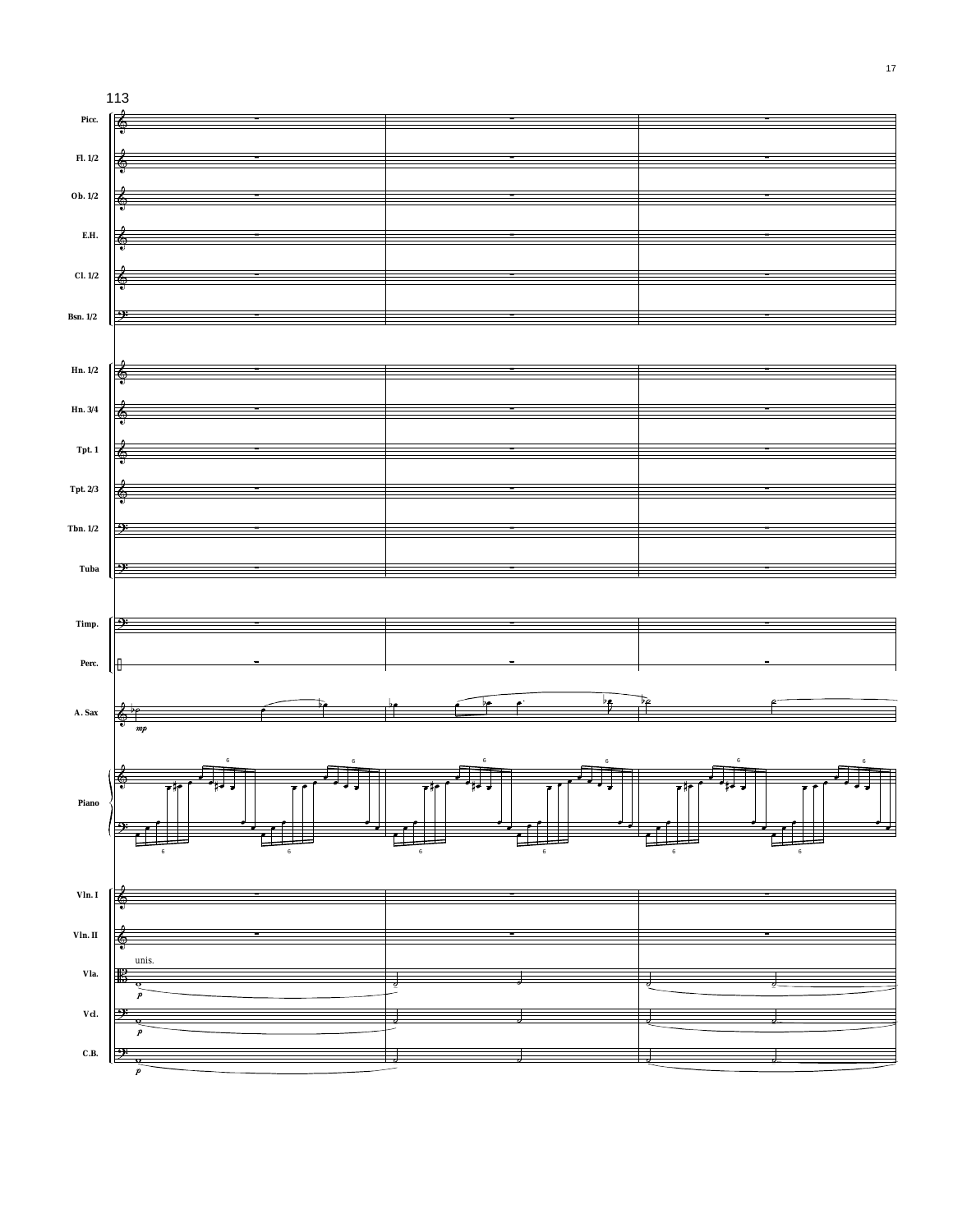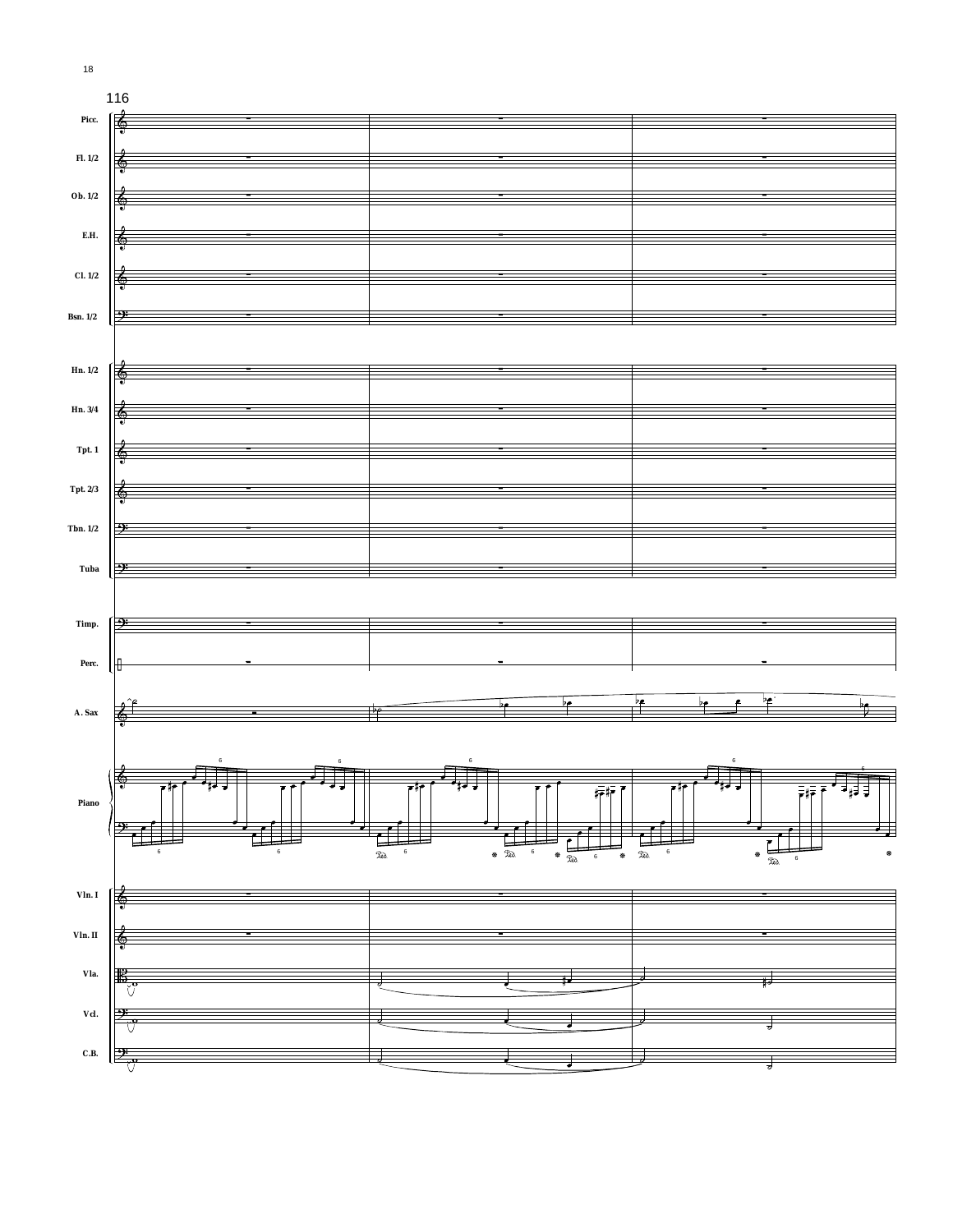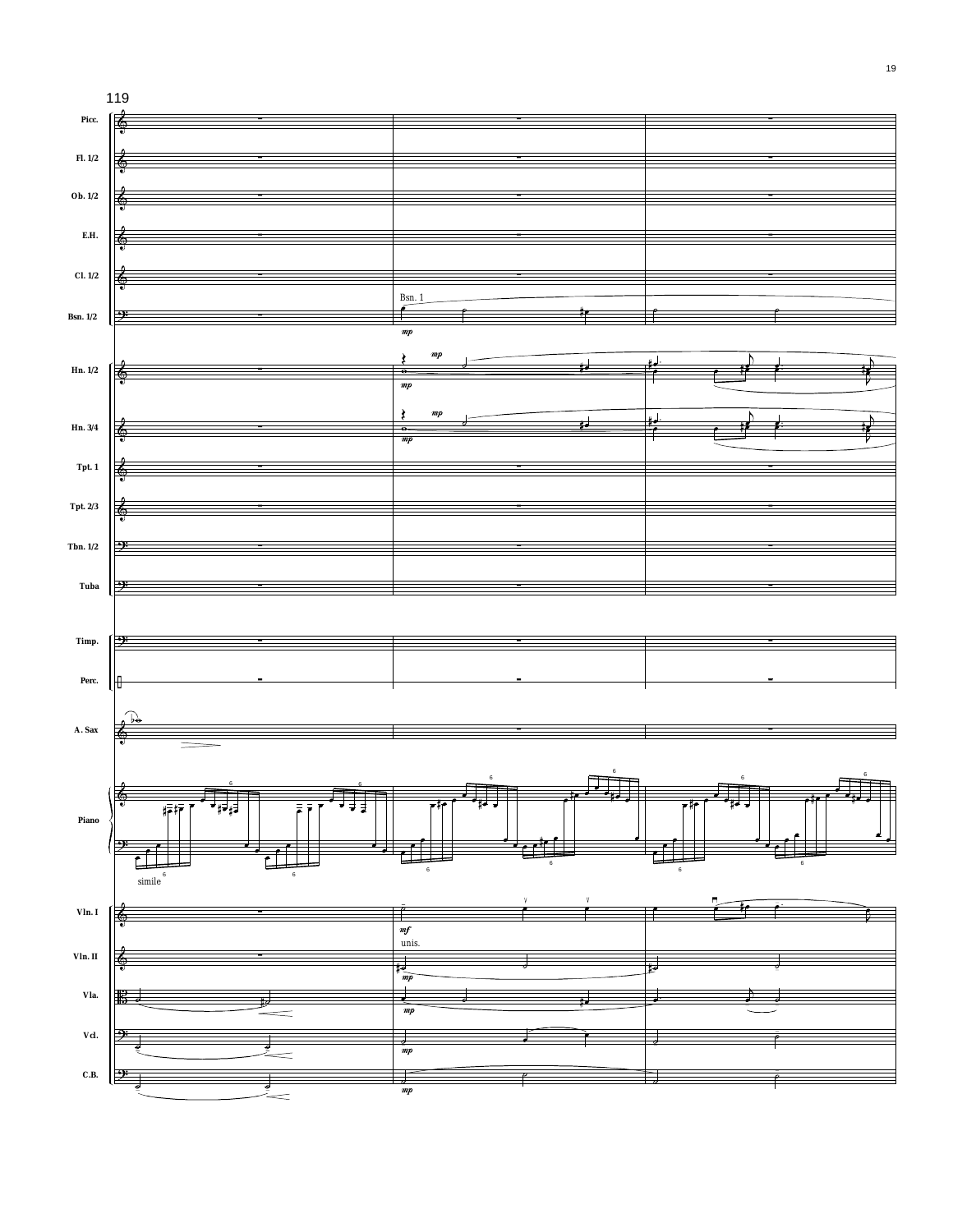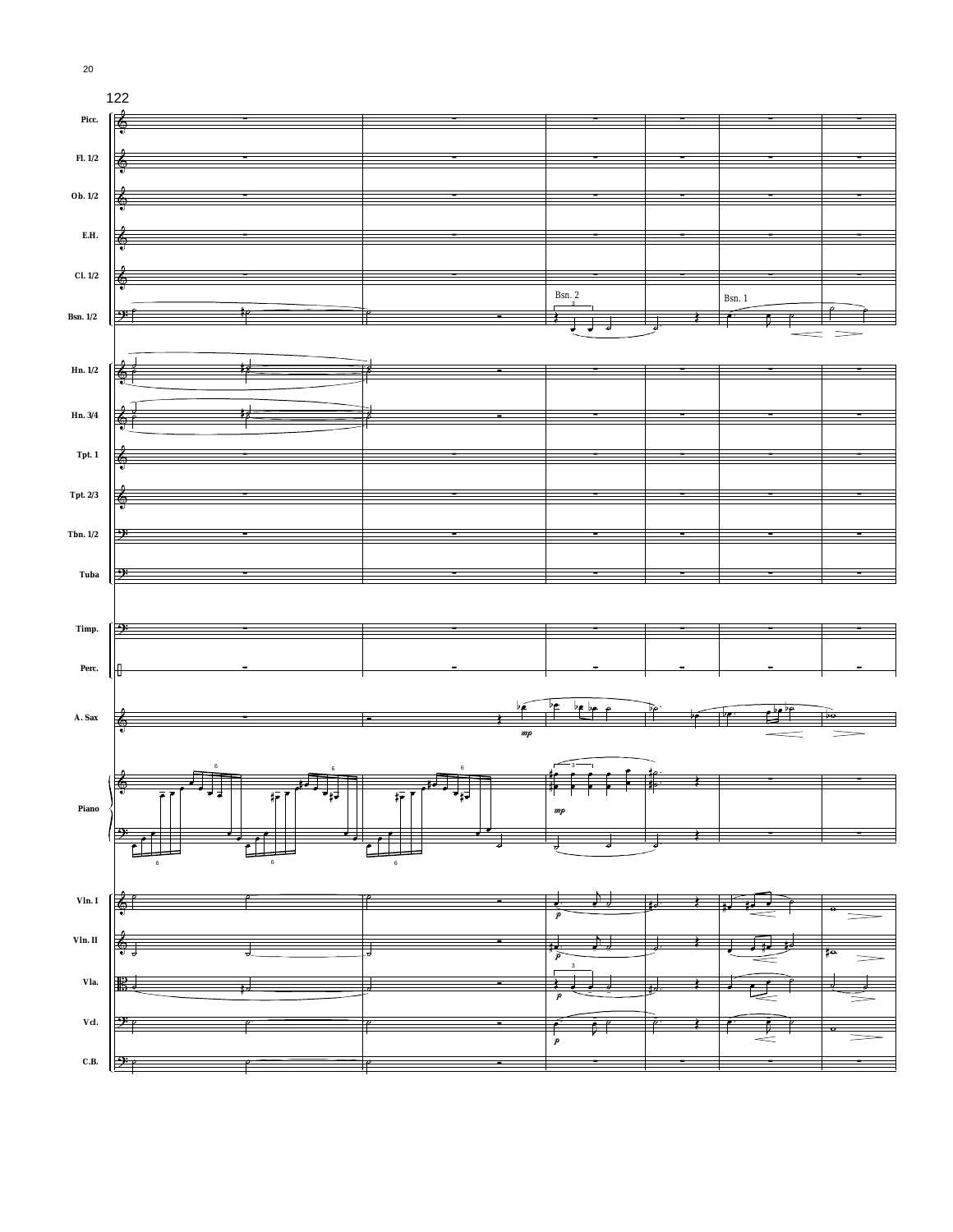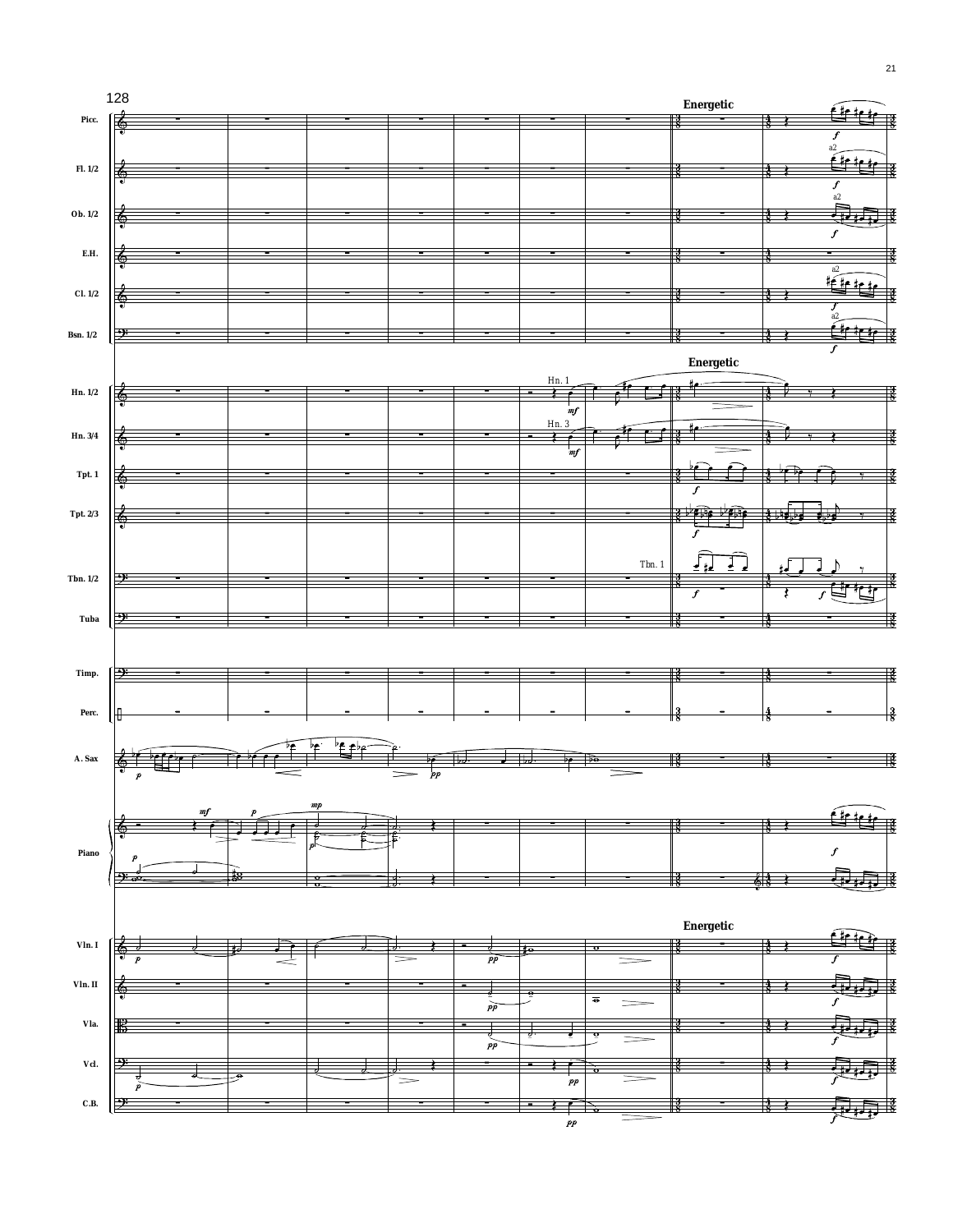